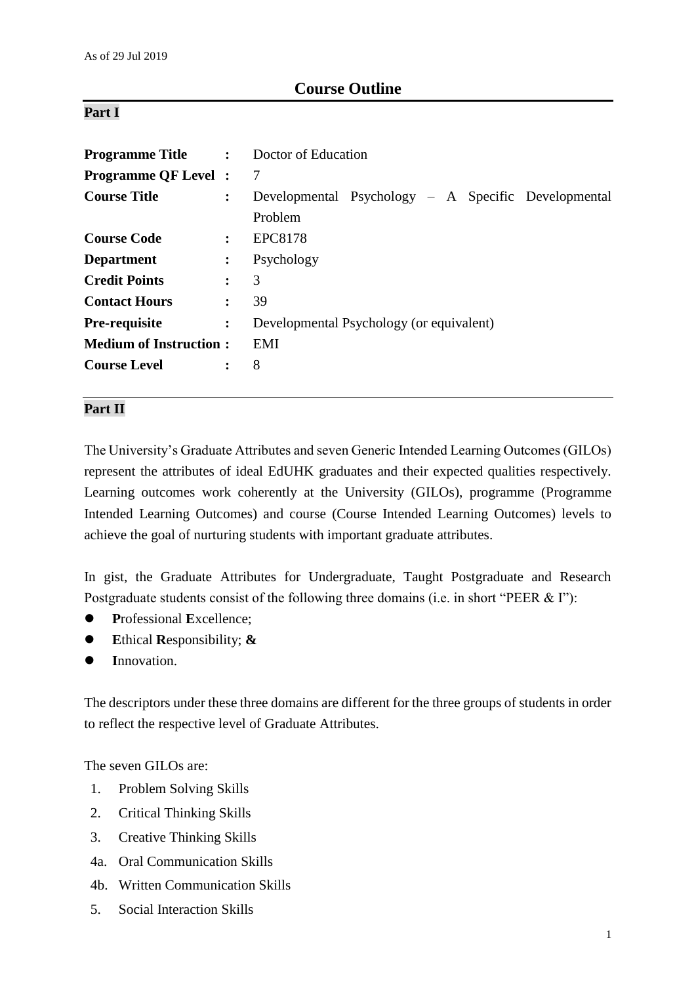# **Course Outline**

## **Part I**

| <b>Programme Title :</b> Doctor of Education |                |                                                     |  |  |
|----------------------------------------------|----------------|-----------------------------------------------------|--|--|
| <b>Programme QF Level :</b>                  |                | -7                                                  |  |  |
| <b>Course Title</b>                          | $\ddot{\cdot}$ | Developmental Psychology – A Specific Developmental |  |  |
|                                              |                | Problem                                             |  |  |
| <b>Course Code</b>                           | $\ddot{\cdot}$ | EPC8178                                             |  |  |
| <b>Department</b>                            | $\ddot{\cdot}$ | Psychology                                          |  |  |
| <b>Credit Points</b>                         | $\ddot{\cdot}$ | 3                                                   |  |  |
| <b>Contact Hours</b>                         | $\ddot{\cdot}$ | 39                                                  |  |  |
| <b>Pre-requisite</b>                         | $\ddot{\cdot}$ | Developmental Psychology (or equivalent)            |  |  |
| <b>Medium of Instruction:</b>                |                | EMI                                                 |  |  |
| <b>Course Level</b>                          | $\ddot{\cdot}$ | 8                                                   |  |  |

### **Part II**

The University's Graduate Attributes and seven Generic Intended Learning Outcomes (GILOs) represent the attributes of ideal EdUHK graduates and their expected qualities respectively. Learning outcomes work coherently at the University (GILOs), programme (Programme Intended Learning Outcomes) and course (Course Intended Learning Outcomes) levels to achieve the goal of nurturing students with important graduate attributes.

In gist, the Graduate Attributes for Undergraduate, Taught Postgraduate and Research Postgraduate students consist of the following three domains (i.e. in short "PEER & I"):

- **P**rofessional **E**xcellence;
- **E**thical **R**esponsibility; **&**
- **I**nnovation.

The descriptors under these three domains are different for the three groups of students in order to reflect the respective level of Graduate Attributes.

The seven GILOs are:

- 1. Problem Solving Skills
- 2. Critical Thinking Skills
- 3. Creative Thinking Skills
- 4a. Oral Communication Skills
- 4b. Written Communication Skills
- 5. Social Interaction Skills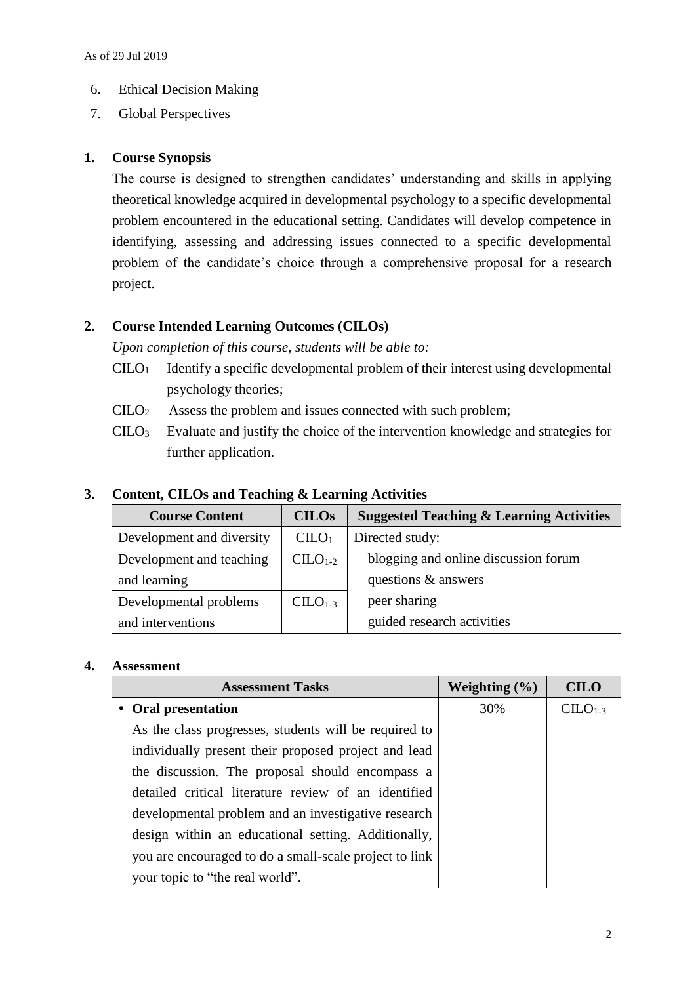- 6. Ethical Decision Making
- 7. Global Perspectives

# **1. Course Synopsis**

The course is designed to strengthen candidates' understanding and skills in applying theoretical knowledge acquired in developmental psychology to a specific developmental problem encountered in the educational setting. Candidates will develop competence in identifying, assessing and addressing issues connected to a specific developmental problem of the candidate's choice through a comprehensive proposal for a research project.

# **2. Course Intended Learning Outcomes (CILOs)**

*Upon completion of this course, students will be able to:*

- $C I L O<sub>1</sub>$  Identify a specific developmental problem of their interest using developmental psychology theories;
- CILO<sup>2</sup> Assess the problem and issues connected with such problem;
- CILO<sup>3</sup> Evaluate and justify the choice of the intervention knowledge and strategies for further application.

| <b>Course Content</b>     | <b>CILOs</b>                  | <b>Suggested Teaching &amp; Learning Activities</b> |  |
|---------------------------|-------------------------------|-----------------------------------------------------|--|
| Development and diversity | C <sub>1</sub> O <sub>1</sub> | Directed study:                                     |  |
| Development and teaching  | $CLLO1-2$                     | blogging and online discussion forum                |  |
| and learning              |                               | questions & answers                                 |  |
| Developmental problems    | $CLLO1-3$                     | peer sharing                                        |  |
| and interventions         |                               | guided research activities                          |  |

## **3. Content, CILOs and Teaching & Learning Activities**

#### **4. Assessment**

| <b>Assessment Tasks</b>                                | Weighting $(\% )$ | <b>CILO</b> |
|--------------------------------------------------------|-------------------|-------------|
| • Oral presentation                                    | 30%               | $CLLO1-3$   |
| As the class progresses, students will be required to  |                   |             |
| individually present their proposed project and lead   |                   |             |
| the discussion. The proposal should encompass a        |                   |             |
| detailed critical literature review of an identified   |                   |             |
| developmental problem and an investigative research    |                   |             |
| design within an educational setting. Additionally,    |                   |             |
| you are encouraged to do a small-scale project to link |                   |             |
| your topic to "the real world".                        |                   |             |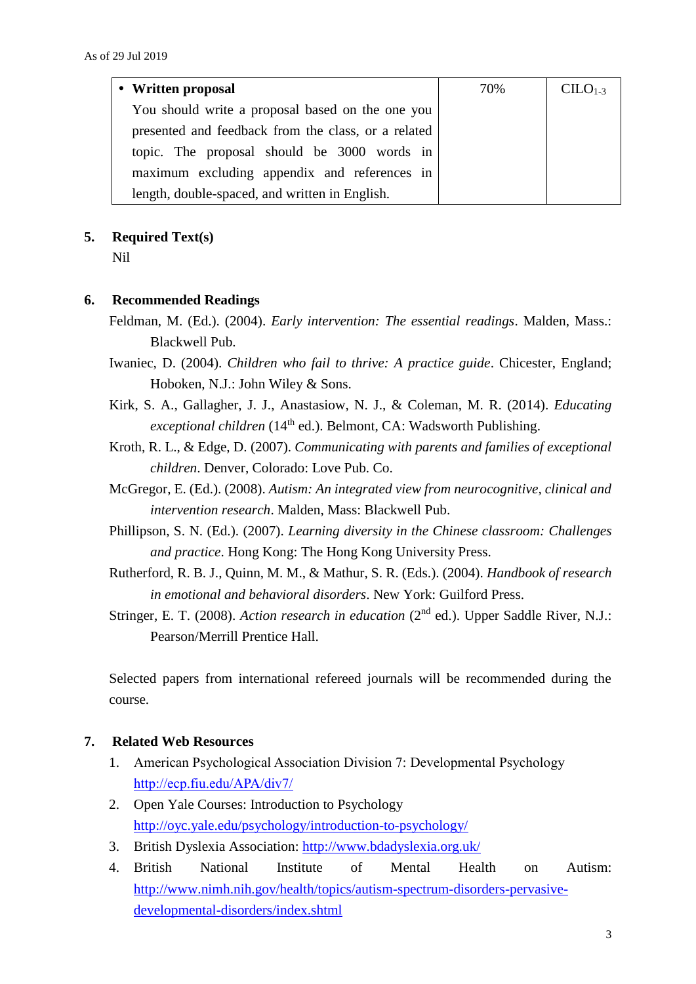| • Written proposal                                  | 70% | $CLLO1-3$ |
|-----------------------------------------------------|-----|-----------|
| You should write a proposal based on the one you    |     |           |
| presented and feedback from the class, or a related |     |           |
| topic. The proposal should be 3000 words in         |     |           |
| maximum excluding appendix and references in        |     |           |
| length, double-spaced, and written in English.      |     |           |

### **5. Required Text(s)**

Nil

### **6. Recommended Readings**

- Feldman, M. (Ed.). (2004). *Early intervention: The essential readings*. Malden, Mass.: Blackwell Pub.
- Iwaniec, D. (2004). *Children who fail to thrive: A practice guide*. Chicester, England; Hoboken, N.J.: John Wiley & Sons.
- Kirk, S. A., Gallagher, J. J., Anastasiow, N. J., & Coleman, M. R. (2014). *Educating exceptional children* (14th ed.). Belmont, CA: Wadsworth Publishing.
- Kroth, R. L., & Edge, D. (2007). *Communicating with parents and families of exceptional children*. Denver, Colorado: Love Pub. Co.
- McGregor, E. (Ed.). (2008). *Autism: An integrated view from neurocognitive, clinical and intervention research*. Malden, Mass: Blackwell Pub.
- Phillipson, S. N. (Ed.). (2007). *Learning diversity in the Chinese classroom: Challenges and practice*. Hong Kong: The Hong Kong University Press.
- Rutherford, R. B. J., Quinn, M. M., & Mathur, S. R. (Eds.). (2004). *Handbook of research in emotional and behavioral disorders*. New York: Guilford Press.
- Stringer, E. T. (2008). *Action research in education* (2<sup>nd</sup> ed.). Upper Saddle River, N.J.: Pearson/Merrill Prentice Hall.

Selected papers from international refereed journals will be recommended during the course.

### **7. Related Web Resources**

- 1. American Psychological Association Division 7: Developmental Psychology <http://ecp.fiu.edu/APA/div7/>
- 2. Open Yale Courses: Introduction to Psychology <http://oyc.yale.edu/psychology/introduction-to-psychology/>
- 3. British Dyslexia Association:<http://www.bdadyslexia.org.uk/>
- 4. British National Institute of Mental Health on Autism: [http://www.nimh.nih.gov/health/topics/autism-spectrum-disorders-pervasive](http://www.nimh.nih.gov/health/topics/autism-spectrum-disorders-pervasive-developmental-disorders/index.shtml)[developmental-disorders/index.shtml](http://www.nimh.nih.gov/health/topics/autism-spectrum-disorders-pervasive-developmental-disorders/index.shtml)